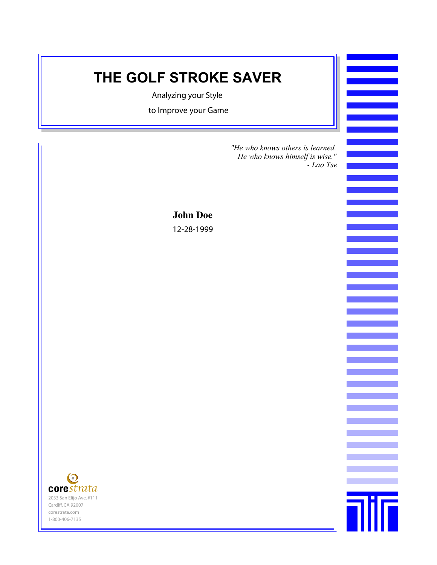#### **THE GOLF STROKE SAVER**

Analyzing your Style

to Improve your Game

*"He who knows others is learned. He who knows himself is wise." - Lao Tse*

**Tilf** 

**John Doe** 12-28-1999

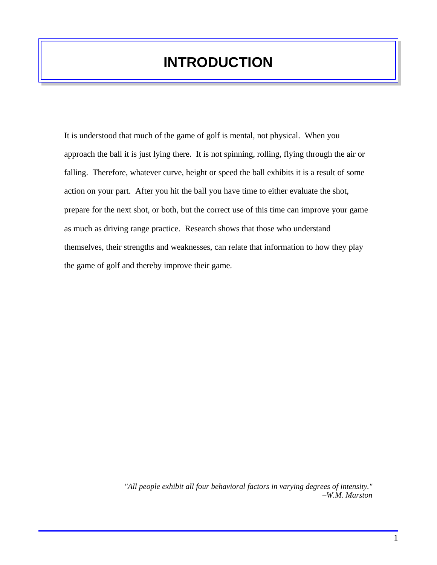# **INTRODUCTION**

It is understood that much of the game of golf is mental, not physical. When you approach the ball it is just lying there. It is not spinning, rolling, flying through the air or falling. Therefore, whatever curve, height or speed the ball exhibits it is a result of some action on your part. After you hit the ball you have time to either evaluate the shot, prepare for the next shot, or both, but the correct use of this time can improve your game as much as driving range practice. Research shows that those who understand themselves, their strengths and weaknesses, can relate that information to how they play the game of golf and thereby improve their game.

> *"All people exhibit all four behavioral factors in varying degrees of intensity." –W.M. Marston*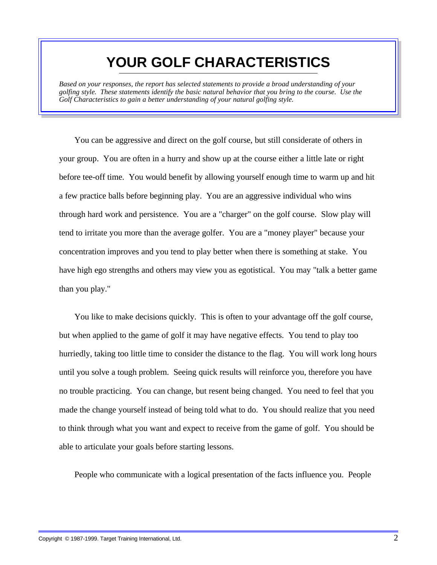#### **YOUR GOLF CHARACTERISTICS**

*Based on your responses, the report has selected statements to provide a broad understanding of your golfing style. These statements identify the basic natural behavior that you bring to the course. Use the Golf Characteristics to gain a better understanding of your natural golfing style.* 

You can be aggressive and direct on the golf course, but still considerate of others in your group. You are often in a hurry and show up at the course either a little late or right before tee-off time. You would benefit by allowing yourself enough time to warm up and hit a few practice balls before beginning play. You are an aggressive individual who wins through hard work and persistence. You are a "charger" on the golf course. Slow play will tend to irritate you more than the average golfer. You are a "money player" because your concentration improves and you tend to play better when there is something at stake. You have high ego strengths and others may view you as egotistical. You may "talk a better game than you play."

You like to make decisions quickly. This is often to your advantage off the golf course, but when applied to the game of golf it may have negative effects. You tend to play too hurriedly, taking too little time to consider the distance to the flag. You will work long hours until you solve a tough problem. Seeing quick results will reinforce you, therefore you have no trouble practicing. You can change, but resent being changed. You need to feel that you made the change yourself instead of being told what to do. You should realize that you need to think through what you want and expect to receive from the game of golf. You should be able to articulate your goals before starting lessons.

People who communicate with a logical presentation of the facts influence you. People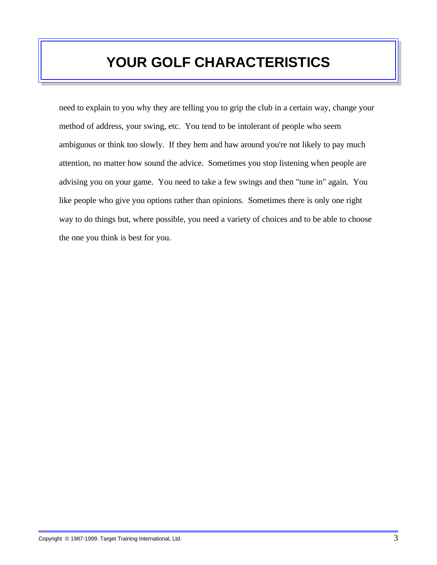# **YOUR GOLF CHARACTERISTICS**

need to explain to you why they are telling you to grip the club in a certain way, change your method of address, your swing, etc. You tend to be intolerant of people who seem ambiguous or think too slowly. If they hem and haw around you're not likely to pay much attention, no matter how sound the advice. Sometimes you stop listening when people are advising you on your game. You need to take a few swings and then "tune in" again. You like people who give you options rather than opinions. Sometimes there is only one right way to do things but, where possible, you need a variety of choices and to be able to choose the one you think is best for you.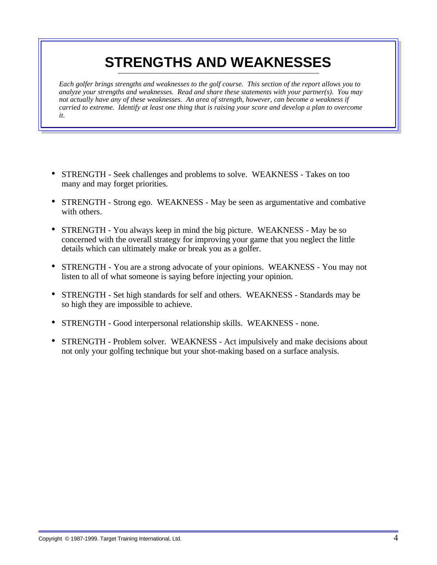# **STRENGTHS AND WEAKNESSES**

*Each golfer brings strengths and weaknesses to the golf course. This section of the report allows you to analyze your strengths and weaknesses. Read and share these statements with your partner(s). You may not actually have any of these weaknesses. An area of strength, however, can become a weakness if carried to extreme. Identify at least one thing that is raising your score and develop a plan to overcome it.* 

- STRENGTH Seek challenges and problems to solve. WEAKNESS Takes on too many and may forget priorities.
- STRENGTH Strong ego. WEAKNESS May be seen as argumentative and combative with others.
- STRENGTH You always keep in mind the big picture. WEAKNESS May be so concerned with the overall strategy for improving your game that you neglect the little details which can ultimately make or break you as a golfer.
- STRENGTH You are a strong advocate of your opinions. WEAKNESS You may not listen to all of what someone is saying before injecting your opinion.
- STRENGTH Set high standards for self and others. WEAKNESS Standards may be so high they are impossible to achieve.
- STRENGTH Good interpersonal relationship skills. WEAKNESS none.
- STRENGTH Problem solver. WEAKNESS Act impulsively and make decisions about not only your golfing technique but your shot-making based on a surface analysis.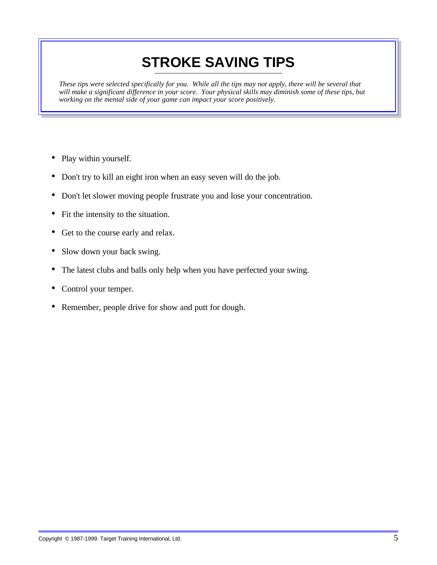# **STROKE SAVING TIPS**

*These tips were selected specifically for you. While all the tips may not apply, there will be several that will make a significant difference in your score. Your physical skills may diminish some of these tips, but working on the mental side of your game can impact your score positively.* 

- Play within yourself.
- Don't try to kill an eight iron when an easy seven will do the job.
- Don't let slower moving people frustrate you and lose your concentration.
- Fit the intensity to the situation.
- Get to the course early and relax.
- Slow down your back swing.
- The latest clubs and balls only help when you have perfected your swing.
- Control your temper.
- Remember, people drive for show and putt for dough.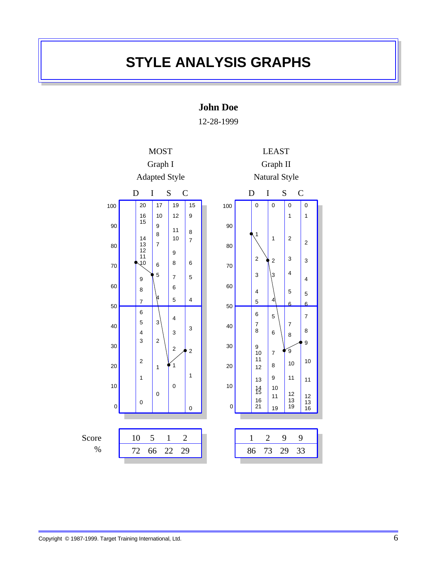### **STYLE ANALYSIS GRAPHS**

**John Doe**

12-28-1999

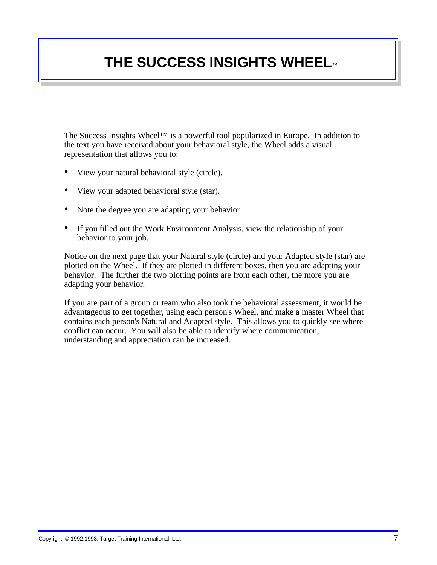#### **THE SUCCESS INSIGHTS WHEEL**™

The Success Insights Wheel™ is a powerful tool popularized in Europe. In addition to the text you have received about your behavioral style, the Wheel adds a visual representation that allows you to:

- View your natural behavioral style (circle).
- View your adapted behavioral style (star).
- Note the degree you are adapting your behavior.
- If you filled out the Work Environment Analysis, view the relationship of your behavior to your job.

Notice on the next page that your Natural style (circle) and your Adapted style (star) are plotted on the Wheel. If they are plotted in different boxes, then you are adapting your behavior. The further the two plotting points are from each other, the more you are adapting your behavior.

If you are part of a group or team who also took the behavioral assessment, it would be advantageous to get together, using each person's Wheel, and make a master Wheel that contains each person's Natural and Adapted style. This allows you to quickly see where conflict can occur. You will also be able to identify where communication, understanding and appreciation can be increased.